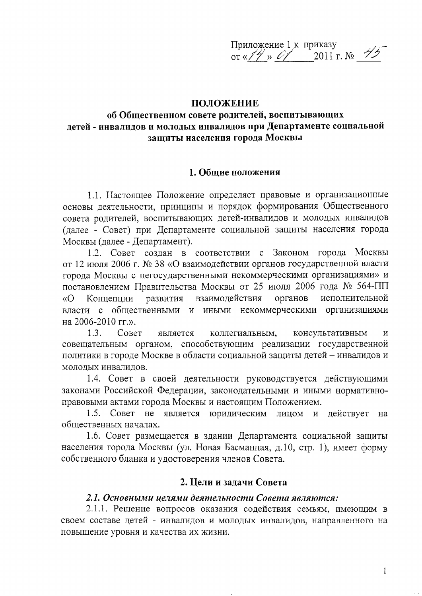Приложение 1 к приказу or  $\sqrt{7}$  > 01 2011 r. No 45

#### ПОЛОЖЕНИЕ

## об Общественном совете родителей, воспитывающих детей - инвалидов и молодых инвалидов при Департаменте социальной защиты населения города Москвы

#### 1. Общие положения

1.1. Настоящее Положение определяет правовые и организационные основы деятельности, принципы и порядок формирования Общественного совета родителей, воспитывающих детей-инвалидов и молодых инвалидов (далее - Совет) при Департаменте социальной защиты населения города Москвы (далее - Департамент).

1.2. Совет создан в соответствии с Законом города Москвы от 12 июля 2006 г. № 38 «О взаимодействии органов государственной власти города Москвы с негосударственными некоммерческими организациями» и постановлением Правительства Москвы от 25 июля 2006 года № 564-ПП  $\langle \langle \mathbf{O} \rangle$ Концепции развития взаимодействия органов исполнительной власти с общественными и иными некоммерческими организациями на 2006-2010 гг.».

Совет  $1.3.$ является коллегиальным, консультативным  $\overline{\mathbf{M}}$ совещательным органом, способствующим реализации государственной политики в городе Москве в области социальной защиты детей - инвалидов и молодых инвалидов.

1.4. Совет в своей деятельности руководствуется действующими законами Российской Федерации, законодательными и иными нормативноправовыми актами города Москвы и настоящим Положением.

1.5. Совет не является юридическим лицом и действует на общественных началах.

1.6. Совет размещается в здании Департамента социальной защиты населения города Москвы (ул. Новая Басманная, д.10, стр. 1), имеет форму собственного бланка и удостоверения членов Совета.

#### 2. Цели и задачи Совета

### 2.1. Основными целями деятельности Совета являются:

2.1.1. Решение вопросов оказания содействия семьям, имеющим в своем составе детей - инвалидов и молодых инвалидов, направленного на повышение уровня и качества их жизни.

 $\mathbf{1}$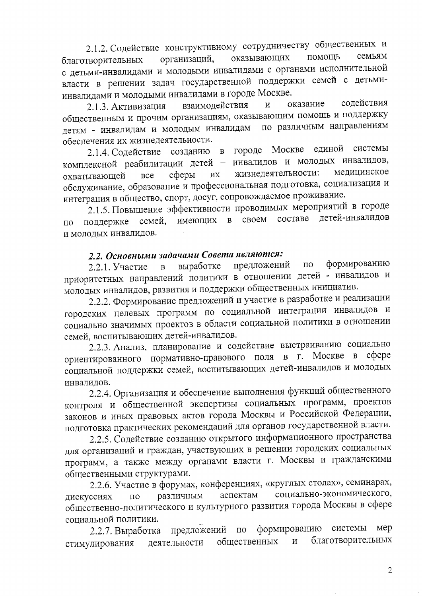2.1.2. Содействие конструктивному сотрудничеству общественных и помощь семьям оказывающих организаций, благотворительных с детьми-инвалидами и молодыми инвалидами с органами исполнительной власти в решении задач государственной поддержки семей с детьмиинвалидами и молодыми инвалидами в городе Москве.

оказание содействия взаимодействия  $\overline{\mathbf{M}}$ 2.1.3. Активизация общественным и прочим организациям, оказывающим помощь и поддержку по различным направлениям детям - инвалидам и молодым инвалидам обеспечения их жизнедеятельности.

2.1.4. Содействие созданию в городе Москве елиной системы комплексной реабилитации детей - инвалидов и молодых инвалидов, жизнедеятельности: медицинское сферы **HX** охватывающей **BCC** обслуживание, образование и профессиональная подготовка, социализация и интеграция в общество, спорт, досуг, сопровождаемое проживание.

2.1.5. Повышение эффективности проводимых мероприятий в городе детей-инвалидов своем составе имеющих  $\mathbf{B}$ семей. поддержке  $\overline{10}$ и молодых инвалидов.

## 2.2. Основными задачами Совета являются:

формированию предложений  $\Pi$ O выработке 2.2.1. Участие  $\overline{B}$ приоритетных направлений политики в отношении детей - инвалидов и молодых инвалидов, развития и поддержки общественных инициатив.

2.2.2. Формирование предложений и участие в разработке и реализации городских целевых программ по социальной интеграции инвалидов и социально значимых проектов в области социальной политики в отношении семей, воспитывающих детей-инвалидов.

2.2.3. Анализ, планирование и содействие выстраиванию социально ориентированного нормативно-правового поля в г. Москве в сфере социальной поддержки семей, воспитывающих детей-инвалидов и молодых инвалидов.

2.2.4. Организация и обеспечение выполнения функций общественного контроля и общественной экспертизы социальных программ, проектов законов и иных правовых актов города Москвы и Российской Федерации, подготовка практических рекомендаций для органов государственной власти.

2.2.5. Содействие созданию открытого информационного пространства для организаций и граждан, участвующих в решении городских социальных программ, а также между органами власти г. Москвы и гражданскими общественными структурами.

2.2.6. Участие в форумах, конференциях, «круглых столах», семинарах, социально-экономического, аспектам различным дискуссиях  $\overline{a}$ общественно-политического и культурного развития города Москвы в сфере социальной политики.

предложений формированию системы мер  $\Pi$ O 2.2.7. Выработка благотворительных общественных  $\overline{\mathbf{M}}$ деятельности стимулирования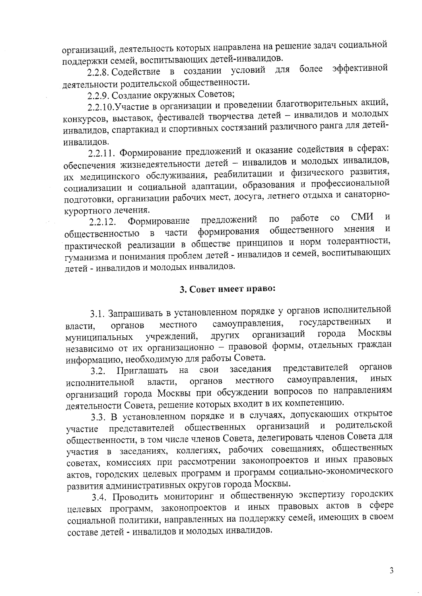организаций, деятельность которых направлена на решение задач социальной поддержки семей, воспитывающих детей-инвалидов.

более эффективной 2.2.8. Содействие в создании условий ДЛЯ деятельности родительской общественности.

2.2.9. Создание окружных Советов;

2.2.10. Участие в организации и проведении благотворительных акций, конкурсов, выставок, фестивалей творчества детей - инвалидов и молодых инвалидов, спартакиад и спортивных состязаний различного ранга для детейинвалидов.

2.2.11. Формирование предложений и оказание содействия в сферах: обеспечения жизнедеятельности детей - инвалидов и молодых инвалидов, их медицинского обслуживания, реабилитации и физического развития, социализации и социальной адаптации, образования и профессиональной подготовки, организации рабочих мест, досуга, летнего отдыха и санаторнокурортного лечения.

CM<sub>H</sub>  $\overline{M}$ работе  $\rm{CO}$ предложений  $\Pi{\rm O}$ Формирование  $2.2.12.$  $\,$  M общественного мнения формирования части общественностью в практической реализации в обществе принципов и норм толерантности, гуманизма и понимания проблем детей - инвалидов и семей, воспитывающих детей - инвалидов и молодых инвалидов.

## 3. Совет имеет право:

3.1. Запрашивать в установленном порядке у органов исполнительной государственных  $\mathbf H$ самоуправления, местного органов власти, Москвы города организаций учреждений, других муниципальных независимо от их организационно - правовой формы, отдельных граждан информацию, необходимую для работы Совета.

представителей органов заседания на свои Приглашать  $3.2.$ самоуправления, иных местного власти, исполнительной органов организаций города Москвы при обсуждении вопросов по направлениям деятельности Совета, решение которых входит в их компетенцию.

3.3. В установленном порядке и в случаях, допускающих открытое родительской общественных организаций  $\mathbf{M}$ участие представителей общественности, в том числе членов Совета, делегировать членов Совета для участия в заседаниях, коллегиях, рабочих совещаниях, общественных советах, комиссиях при рассмотрении законопроектов и иных правовых актов, городских целевых программ и программ социально-экономического развития административных округов города Москвы.

3.4. Проводить мониторинг и общественную экспертизу городских целевых программ, законопроектов и иных правовых актов в сфере социальной политики, направленных на поддержку семей, имеющих в своем составе детей - инвалидов и молодых инвалидов.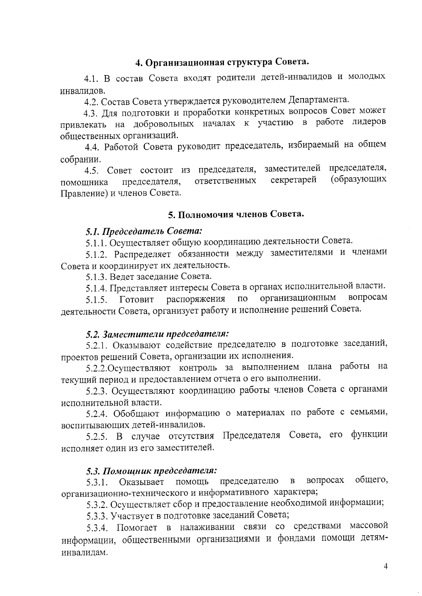## 4. Организационная структура Совета.

4.1. В состав Совета входят родители детей-инвалидов и молодых инвалидов.

4.2. Состав Совета утверждается руководителем Департамента.

4.3. Для подготовки и проработки конкретных вопросов Совет может привлекать на добровольных началах к участию в работе лидеров обшественных организаций.

4.4. Работой Совета руководит председатель, избираемый на общем собрании.

4.5. Совет состоит из председателя, заместителей председателя, (образующих секретарей ответственных помощника председателя, Правление) и членов Совета.

#### 5. Полномочия членов Совета.

#### 5.1. Председатель Совета:

5.1.1. Осуществляет общую координацию деятельности Совета.

5.1.2. Распределяет обязанности между заместителями и членами Совета и координирует их деятельность.

5.1.3. Ведет заседание Совета.

5.1.4. Представляет интересы Совета в органах исполнительной власти.

вопросам распоряжения  $\Pi$ O организационным Готовит  $5.1.5.$ деятельности Совета, организует работу и исполнение решений Совета.

#### 5.2. Заместители председателя:

5.2.1. Оказывают содействие председателю в подготовке заседаний, проектов решений Совета, организации их исполнения.

5.2.2. Осуществляют контроль за выполнением плана работы на текущий период и предоставлением отчета о его выполнении.

5.2.3. Осуществляют координацию работы членов Совета с органами исполнительной власти.

5.2.4. Обобщают информацию о материалах по работе с семьями, воспитывающих детей-инвалидов.

5.2.5. В случае отсутствия Председателя Совета, его функции исполняет один из его заместителей.

#### 5.3. Помощник председателя:

общего, председателю вопросах  $\mathbf{B}$ 5.3.1. Оказывает помощь организационно-технического и информативного характера;

5.3.2. Осуществляет сбор и предоставление необходимой информации;

5.3.3. Участвует в подготовке заседаний Совета;

5.3.4. Помогает в налаживании связи со средствами массовой информации, общественными организациями и фондами помощи детяминвалидам.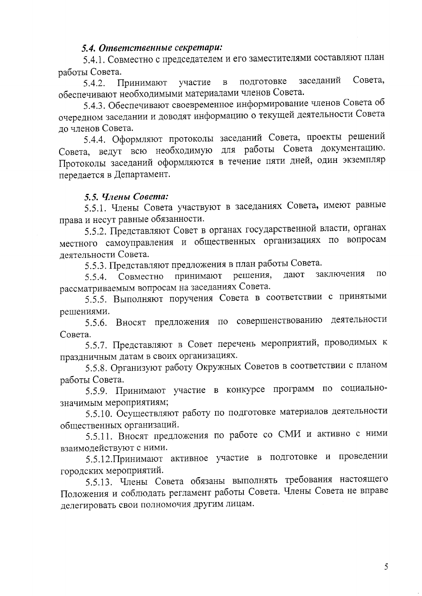## 5.4. Ответственные секретари:

5.4.1. Совместно с председателем и его заместителями составляют план работы Совета.

заседаний Совета, подготовке участие  $\mathbf{B}$  $5.4.2.$ Принимают обеспечивают необходимыми материалами членов Совета.

5.4.3. Обеспечивают своевременное информирование членов Совета об очередном заседании и доводят информацию о текущей деятельности Совета ло членов Совета.

5.4.4. Оформляют протоколы заседаний Совета, проекты решений Совета, ведут всю необходимую для работы Совета документацию. Протоколы заседаний оформляются в течение пяти дней, один экземпляр передается в Департамент.

## 5.5. Члены Совета:

5.5.1. Члены Совета участвуют в заседаниях Совета, имеют равные права и несут равные обязанности.

5.5.2. Представляют Совет в органах государственной власти, органах местного самоуправления и общественных организациях по вопросам деятельности Совета.

5.5.3. Представляют предложения в план работы Совета.

принимают решения, заключения ПО дают Совместно  $5.5.4.$ рассматриваемым вопросам на заседаниях Совета.

5.5.5. Выполняют поручения Совета в соответствии с принятыми решениями.

5.5.6. Вносят предложения по совершенствованию деятельности Совета.

5.5.7. Представляют в Совет перечень мероприятий, проводимых к праздничным датам в своих организациях.

5.5.8. Организуют работу Окружных Советов в соответствии с планом работы Совета.

5.5.9. Принимают участие в конкурсе программ по социальнозначимым мероприятиям;

5.5.10. Осуществляют работу по подготовке материалов деятельности общественных организаций.

5.5.11. Вносят предложения по работе со СМИ и активно с ними взаимодействуют с ними.

5.5.12. Принимают активное участие в подготовке и проведении городских мероприятий.

5.5.13. Члены Совета обязаны выполнять требования настоящего Положения и соблюдать регламент работы Совета. Члены Совета не вправе делегировать свои полномочия другим лицам.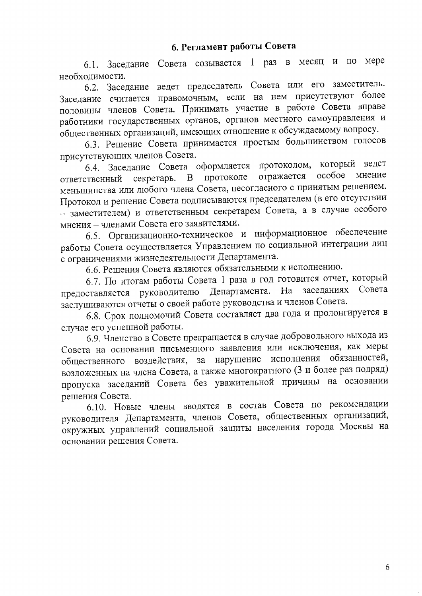# 6. Регламент работы Совета

6.1. Заседание Совета созывается 1 раз в месяц и по мере необхолимости.

6.2. Заседание ведет председатель Совета или его заместитель. Заседание считается правомочным, если на нем присутствуют более половины членов Совета. Принимать участие в работе Совета вправе работники государственных органов, органов местного самоуправления и общественных организаций, имеющих отношение к обсуждаемому вопросу.

6.3. Решение Совета принимается простым большинством голосов присутствующих членов Совета.

6.4. Заседание Совета оформляется протоколом, который ведет отражается особое мнение В протоколе ответственный секретарь. меньшинства или любого члена Совета, несогласного с принятым решением. Протокол и решение Совета подписываются председателем (в его отсутствии - заместителем) и ответственным секретарем Совета, а в случае особого мнения - членами Совета его заявителями.

6.5. Организационно-техническое и информационное обеспечение работы Совета осуществляется Управлением по социальной интеграции лиц с ограничениями жизнедеятельности Департамента.

6.6. Решения Совета являются обязательными к исполнению.

6.7. По итогам работы Совета 1 раза в год готовится отчет, который предоставляется руководителю Департамента. На заседаниях Совета заслушиваются отчеты о своей работе руководства и членов Совета.

6.8. Срок полномочий Совета составляет два года и пролонгируется в случае его успешной работы.

6.9. Членство в Совете прекращается в случае добровольного выхода из Совета на основании письменного заявления или исключения, как меры общественного воздействия, за нарушение исполнения обязанностей, возложенных на члена Совета, а также многократного (3 и более раз подряд) пропуска заседаний Совета без уважительной причины на основании решения Совета.

6.10. Новые члены вводятся в состав Совета по рекомендации руководителя Департамента, членов Совета, общественных организаций, окружных управлений социальной защиты населения города Москвы на основании решения Совета.